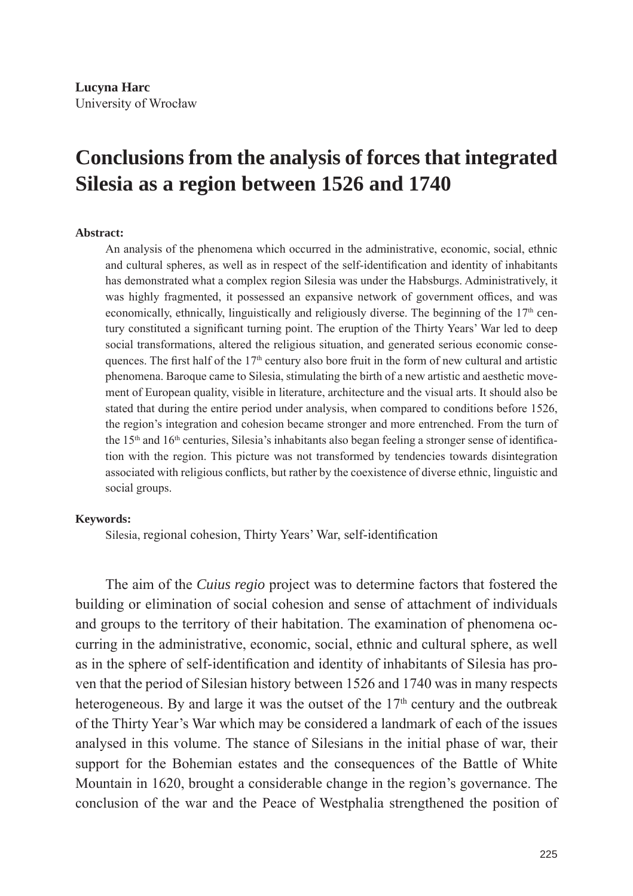## **Conclusions from the analysis of forces that integrated Silesia as a region between 1526 and 1740**

## **Abstract:**

An analysis of the phenomena which occurred in the administrative, economic, social, ethnic and cultural spheres, as well as in respect of the self-identification and identity of inhabitants has demonstrated what a complex region Silesia was under the Habsburgs. Administratively, it was highly fragmented, it possessed an expansive network of government offices, and was economically, ethnically, linguistically and religiously diverse. The beginning of the  $17<sup>th</sup>$  century constituted a significant turning point. The eruption of the Thirty Years' War led to deep social transformations, altered the religious situation, and generated serious economic consequences. The first half of the  $17<sup>th</sup>$  century also bore fruit in the form of new cultural and artistic phenomena. Baroque came to Silesia, stimulating the birth of a new artistic and aesthetic movement of European quality, visible in literature, architecture and the visual arts. It should also be stated that during the entire period under analysis, when compared to conditions before 1526, the region's integration and cohesion became stronger and more entrenched. From the turn of the  $15<sup>th</sup>$  and  $16<sup>th</sup>$  centuries, Silesia's inhabitants also began feeling a stronger sense of identification with the region. This picture was not transformed by tendencies towards disintegration associated with religious conflicts, but rather by the coexistence of diverse ethnic, linguistic and social groups.

## **Keywords:**

Silesia, regional cohesion, Thirty Years' War, self-identification

The aim of the *Cuius regio* project was to determine factors that fostered the building or elimination of social cohesion and sense of attachment of individuals and groups to the territory of their habitation. The examination of phenomena occurring in the administrative, economic, social, ethnic and cultural sphere, as well as in the sphere of self-identification and identity of inhabitants of Silesia has proven that the period of Silesian history between 1526 and 1740 was in many respects heterogeneous. By and large it was the outset of the 17<sup>th</sup> century and the outbreak of the Thirty Year's War which may be considered a landmark of each of the issues analysed in this volume. The stance of Silesians in the initial phase of war, their support for the Bohemian estates and the consequences of the Battle of White Mountain in 1620, brought a considerable change in the region's governance. The conclusion of the war and the Peace of Westphalia strengthened the position of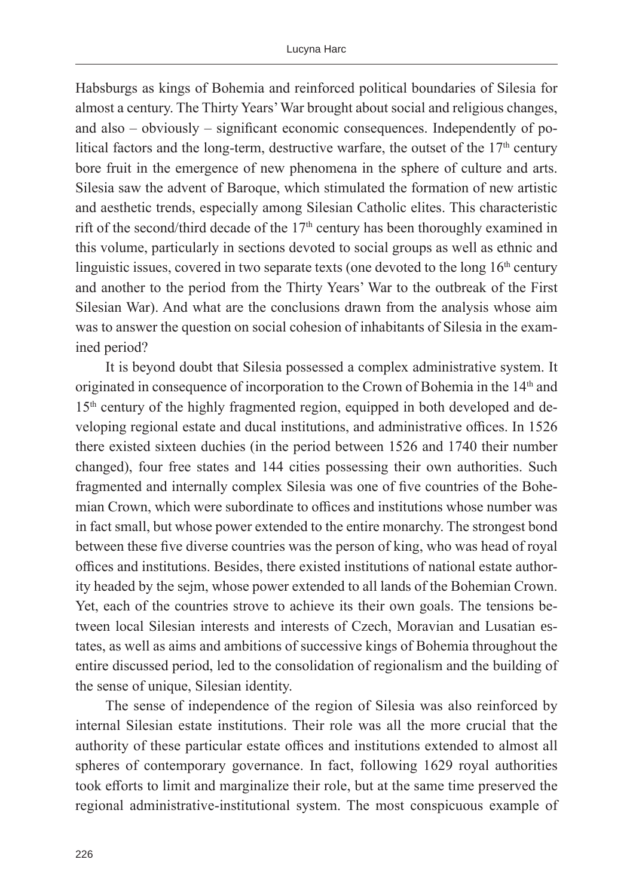Habsburgs as kings of Bohemia and reinforced political boundaries of Silesia for almost a century. The Thirty Years' War brought about social and religious changes, and also – obviously – significant economic consequences. Independently of political factors and the long-term, destructive warfare, the outset of the  $17<sup>th</sup>$  century bore fruit in the emergence of new phenomena in the sphere of culture and arts. Silesia saw the advent of Baroque, which stimulated the formation of new artistic and aesthetic trends, especially among Silesian Catholic elites. This characteristic rift of the second/third decade of the  $17<sup>th</sup>$  century has been thoroughly examined in this volume, particularly in sections devoted to social groups as well as ethnic and linguistic issues, covered in two separate texts (one devoted to the long  $16<sup>th</sup>$  century and another to the period from the Thirty Years' War to the outbreak of the First Silesian War). And what are the conclusions drawn from the analysis whose aim was to answer the question on social cohesion of inhabitants of Silesia in the examined period?

It is beyond doubt that Silesia possessed a complex administrative system. It originated in consequence of incorporation to the Crown of Bohemia in the 14<sup>th</sup> and 15<sup>th</sup> century of the highly fragmented region, equipped in both developed and developing regional estate and ducal institutions, and administrative offices. In 1526 there existed sixteen duchies (in the period between 1526 and 1740 their number changed), four free states and 144 cities possessing their own authorities. Such fragmented and internally complex Silesia was one of five countries of the Bohemian Crown, which were subordinate to offices and institutions whose number was in fact small, but whose power extended to the entire monarchy. The strongest bond between these five diverse countries was the person of king, who was head of royal offices and institutions. Besides, there existed institutions of national estate authority headed by the sejm, whose power extended to all lands of the Bohemian Crown. Yet, each of the countries strove to achieve its their own goals. The tensions between local Silesian interests and interests of Czech, Moravian and Lusatian estates, as well as aims and ambitions of successive kings of Bohemia throughout the entire discussed period, led to the consolidation of regionalism and the building of the sense of unique, Silesian identity.

The sense of independence of the region of Silesia was also reinforced by internal Silesian estate institutions. Their role was all the more crucial that the authority of these particular estate offices and institutions extended to almost all spheres of contemporary governance. In fact, following 1629 royal authorities took efforts to limit and marginalize their role, but at the same time preserved the regional administrative-institutional system. The most conspicuous example of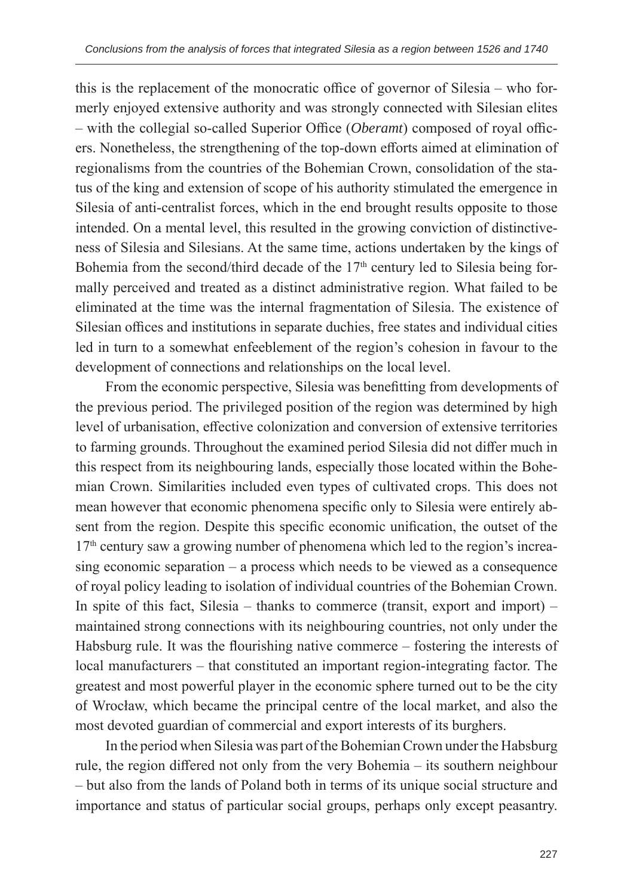this is the replacement of the monocratic office of governor of Silesia – who formerly enjoyed extensive authority and was strongly connected with Silesian elites – with the collegial so-called Superior Office (*Oberamt*) composed of royal officers. Nonetheless, the strengthening of the top-down efforts aimed at elimination of regionalisms from the countries of the Bohemian Crown, consolidation of the status of the king and extension of scope of his authority stimulated the emergence in Silesia of anti-centralist forces, which in the end brought results opposite to those intended. On a mental level, this resulted in the growing conviction of distinctiveness of Silesia and Silesians. At the same time, actions undertaken by the kings of Bohemia from the second/third decade of the  $17<sup>th</sup>$  century led to Silesia being formally perceived and treated as a distinct administrative region. What failed to be eliminated at the time was the internal fragmentation of Silesia. The existence of Silesian offices and institutions in separate duchies, free states and individual cities led in turn to a somewhat enfeeblement of the region's cohesion in favour to the development of connections and relationships on the local level.

From the economic perspective, Silesia was benefitting from developments of the previous period. The privileged position of the region was determined by high level of urbanisation, effective colonization and conversion of extensive territories to farming grounds. Throughout the examined period Silesia did not differ much in this respect from its neighbouring lands, especially those located within the Bohemian Crown. Similarities included even types of cultivated crops. This does not mean however that economic phenomena specific only to Silesia were entirely absent from the region. Despite this specific economic unification, the outset of the 17<sup>th</sup> century saw a growing number of phenomena which led to the region's increasing economic separation – a process which needs to be viewed as a consequence of royal policy leading to isolation of individual countries of the Bohemian Crown. In spite of this fact, Silesia – thanks to commerce (transit, export and import) – maintained strong connections with its neighbouring countries, not only under the Habsburg rule. It was the flourishing native commerce – fostering the interests of local manufacturers – that constituted an important region-integrating factor. The greatest and most powerful player in the economic sphere turned out to be the city of Wrocław, which became the principal centre of the local market, and also the most devoted guardian of commercial and export interests of its burghers.

In the period when Silesia was part of the Bohemian Crown under the Habsburg rule, the region differed not only from the very Bohemia – its southern neighbour – but also from the lands of Poland both in terms of its unique social structure and importance and status of particular social groups, perhaps only except peasantry.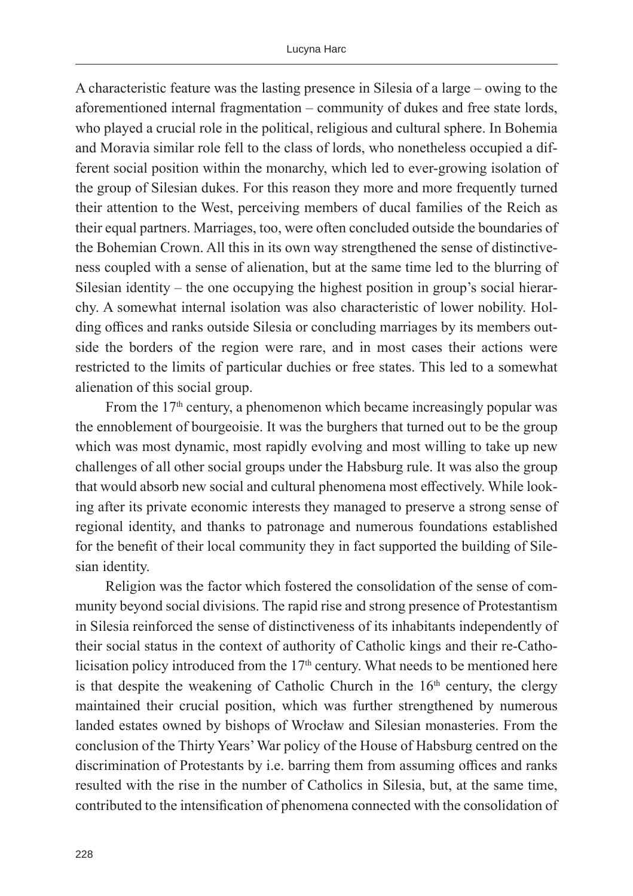A characteristic feature was the lasting presence in Silesia of a large – owing to the aforementioned internal fragmentation – community of dukes and free state lords, who played a crucial role in the political, religious and cultural sphere. In Bohemia and Moravia similar role fell to the class of lords, who nonetheless occupied a different social position within the monarchy, which led to ever-growing isolation of the group of Silesian dukes. For this reason they more and more frequently turned their attention to the West, perceiving members of ducal families of the Reich as their equal partners. Marriages, too, were often concluded outside the boundaries of the Bohemian Crown. All this in its own way strengthened the sense of distinctiveness coupled with a sense of alienation, but at the same time led to the blurring of Silesian identity – the one occupying the highest position in group's social hierarchy. A somewhat internal isolation was also characteristic of lower nobility. Holding offices and ranks outside Silesia or concluding marriages by its members outside the borders of the region were rare, and in most cases their actions were restricted to the limits of particular duchies or free states. This led to a somewhat alienation of this social group.

From the  $17<sup>th</sup>$  century, a phenomenon which became increasingly popular was the ennoblement of bourgeoisie. It was the burghers that turned out to be the group which was most dynamic, most rapidly evolving and most willing to take up new challenges of all other social groups under the Habsburg rule. It was also the group that would absorb new social and cultural phenomena most effectively. While looking after its private economic interests they managed to preserve a strong sense of regional identity, and thanks to patronage and numerous foundations established for the benefit of their local community they in fact supported the building of Silesian identity.

Religion was the factor which fostered the consolidation of the sense of community beyond social divisions. The rapid rise and strong presence of Protestantism in Silesia reinforced the sense of distinctiveness of its inhabitants independently of their social status in the context of authority of Catholic kings and their re-Catholicisation policy introduced from the  $17<sup>th</sup>$  century. What needs to be mentioned here is that despite the weakening of Catholic Church in the  $16<sup>th</sup>$  century, the clergy maintained their crucial position, which was further strengthened by numerous landed estates owned by bishops of Wrocław and Silesian monasteries. From the conclusion of the Thirty Years' War policy of the House of Habsburg centred on the discrimination of Protestants by i.e. barring them from assuming offices and ranks resulted with the rise in the number of Catholics in Silesia, but, at the same time, contributed to the intensification of phenomena connected with the consolidation of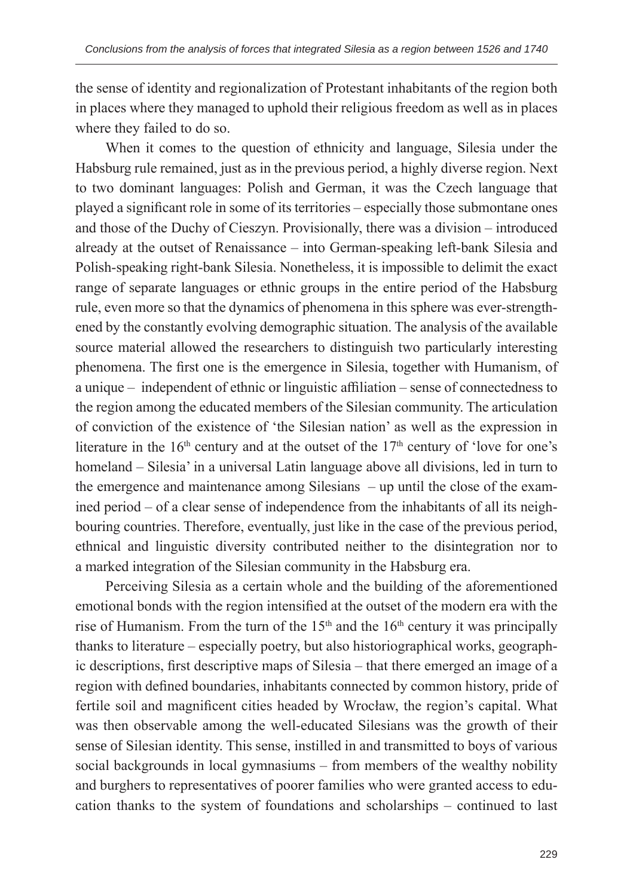the sense of identity and regionalization of Protestant inhabitants of the region both in places where they managed to uphold their religious freedom as well as in places where they failed to do so.

When it comes to the question of ethnicity and language, Silesia under the Habsburg rule remained, just as in the previous period, a highly diverse region. Next to two dominant languages: Polish and German, it was the Czech language that played a significant role in some of its territories – especially those submontane ones and those of the Duchy of Cieszyn. Provisionally, there was a division – introduced already at the outset of Renaissance – into German-speaking left-bank Silesia and Polish-speaking right-bank Silesia. Nonetheless, it is impossible to delimit the exact range of separate languages or ethnic groups in the entire period of the Habsburg rule, even more so that the dynamics of phenomena in this sphere was ever-strengthened by the constantly evolving demographic situation. The analysis of the available source material allowed the researchers to distinguish two particularly interesting phenomena. The first one is the emergence in Silesia, together with Humanism, of a unique – independent of ethnic or linguistic affiliation – sense of connectedness to the region among the educated members of the Silesian community. The articulation of conviction of the existence of 'the Silesian nation' as well as the expression in literature in the  $16<sup>th</sup>$  century and at the outset of the  $17<sup>th</sup>$  century of 'love for one's homeland – Silesia' in a universal Latin language above all divisions, led in turn to the emergence and maintenance among Silesians – up until the close of the examined period – of a clear sense of independence from the inhabitants of all its neighbouring countries. Therefore, eventually, just like in the case of the previous period, ethnical and linguistic diversity contributed neither to the disintegration nor to a marked integration of the Silesian community in the Habsburg era.

Perceiving Silesia as a certain whole and the building of the aforementioned emotional bonds with the region intensified at the outset of the modern era with the rise of Humanism. From the turn of the 15<sup>th</sup> and the 16<sup>th</sup> century it was principally thanks to literature – especially poetry, but also historiographical works, geographic descriptions, first descriptive maps of Silesia – that there emerged an image of a region with defined boundaries, inhabitants connected by common history, pride of fertile soil and magnificent cities headed by Wrocław, the region's capital. What was then observable among the well-educated Silesians was the growth of their sense of Silesian identity. This sense, instilled in and transmitted to boys of various social backgrounds in local gymnasiums – from members of the wealthy nobility and burghers to representatives of poorer families who were granted access to education thanks to the system of foundations and scholarships – continued to last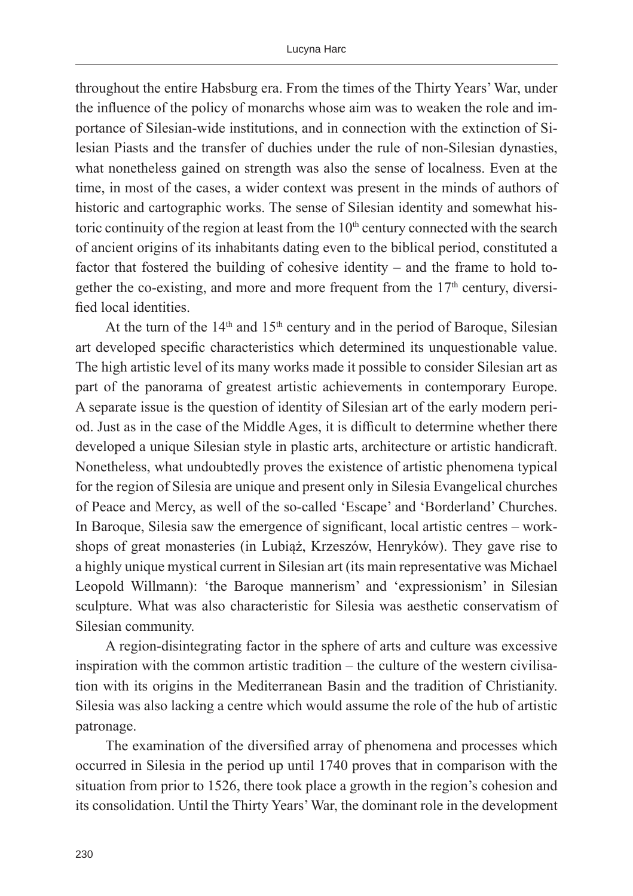throughout the entire Habsburg era. From the times of the Thirty Years' War, under the influence of the policy of monarchs whose aim was to weaken the role and importance of Silesian-wide institutions, and in connection with the extinction of Silesian Piasts and the transfer of duchies under the rule of non-Silesian dynasties, what nonetheless gained on strength was also the sense of localness. Even at the time, in most of the cases, a wider context was present in the minds of authors of historic and cartographic works. The sense of Silesian identity and somewhat historic continuity of the region at least from the  $10<sup>th</sup>$  century connected with the search of ancient origins of its inhabitants dating even to the biblical period, constituted a factor that fostered the building of cohesive identity – and the frame to hold together the co-existing, and more and more frequent from the  $17<sup>th</sup>$  century, diversified local identities.

At the turn of the  $14<sup>th</sup>$  and  $15<sup>th</sup>$  century and in the period of Baroque, Silesian art developed specific characteristics which determined its unquestionable value. The high artistic level of its many works made it possible to consider Silesian art as part of the panorama of greatest artistic achievements in contemporary Europe. A separate issue is the question of identity of Silesian art of the early modern period. Just as in the case of the Middle Ages, it is difficult to determine whether there developed a unique Silesian style in plastic arts, architecture or artistic handicraft. Nonetheless, what undoubtedly proves the existence of artistic phenomena typical for the region of Silesia are unique and present only in Silesia Evangelical churches of Peace and Mercy, as well of the so-called 'Escape' and 'Borderland' Churches. In Baroque, Silesia saw the emergence of significant, local artistic centres – workshops of great monasteries (in Lubiąż, Krzeszów, Henryków). They gave rise to a highly unique mystical current in Silesian art (its main representative was Michael Leopold Willmann): 'the Baroque mannerism' and 'expressionism' in Silesian sculpture. What was also characteristic for Silesia was aesthetic conservatism of Silesian community.

A region-disintegrating factor in the sphere of arts and culture was excessive inspiration with the common artistic tradition – the culture of the western civilisation with its origins in the Mediterranean Basin and the tradition of Christianity. Silesia was also lacking a centre which would assume the role of the hub of artistic patronage.

The examination of the diversified array of phenomena and processes which occurred in Silesia in the period up until 1740 proves that in comparison with the situation from prior to 1526, there took place a growth in the region's cohesion and its consolidation. Until the Thirty Years' War, the dominant role in the development